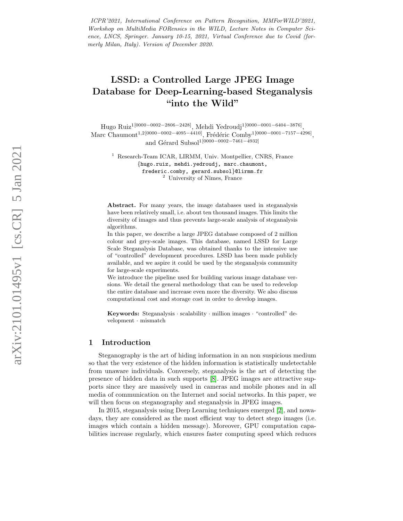ICPR'2021, International Conference on Pattern Recognition, MMForWILD'2021, Workshop on MultiMedia FORensics in the WILD, Lecture Notes in Computer Science, LNCS, Springer. January 10-15, 2021, Virtual Conference due to Covid (formerly Milan, Italy). Version of December 2020.

# LSSD: a Controlled Large JPEG Image Database for Deep-Learning-based Steganalysis "into the Wild"

Hugo Ruiz<sup>1[0000–0002–2806–2428]</sup>, Mehdi Yedroudj<sup>1[0000–0001–6404–3876]</sup> , Marc Chaumont<sup>1,2</sup>[0000–0002–4095–4410], Frédéric Comby<sup>1</sup>[0000–0001–7157–4296], and Gérard Subsol<sup>1[0000–0002–7461–4932]</sup>

<sup>1</sup> Research-Team ICAR, LIRMM, Univ. Montpellier, CNRS, France {hugo.ruiz, mehdi.yedroudj, marc.chaumont, frederic.comby, gerard.subsol }@lirmm.fr  $2$  University of Nîmes, France

Abstract. For many years, the image databases used in steganalysis have been relatively small, i.e. about ten thousand images. This limits the diversity of images and thus prevents large-scale analysis of steganalysis algorithms.

In this paper, we describe a large JPEG database composed of 2 million colour and grey-scale images. This database, named LSSD for Large Scale Steganalysis Database, was obtained thanks to the intensive use of "controlled" development procedures. LSSD has been made publicly available, and we aspire it could be used by the steganalysis community for large-scale experiments.

We introduce the pipeline used for building various image database versions. We detail the general methodology that can be used to redevelop the entire database and increase even more the diversity. We also discuss computational cost and storage cost in order to develop images.

Keywords: Steganalysis · scalability · million images · "controlled" development · mismatch

#### 1 Introduction

Steganography is the art of hiding information in an non suspicious medium so that the very existence of the hidden information is statistically undetectable from unaware individuals. Conversely, steganalysis is the art of detecting the presence of hidden data in such supports [\[8\]](#page-12-0). JPEG images are attractive supports since they are massively used in cameras and mobile phones and in all media of communication on the Internet and social networks. In this paper, we will then focus on steganography and steganalysis in JPEG images.

In 2015, steganalysis using Deep Learning techniques emerged [\[2\]](#page-11-0), and nowadays, they are considered as the most efficient way to detect stego images (i.e. images which contain a hidden message). Moreover, GPU computation capabilities increase regularly, which ensures faster computing speed which reduces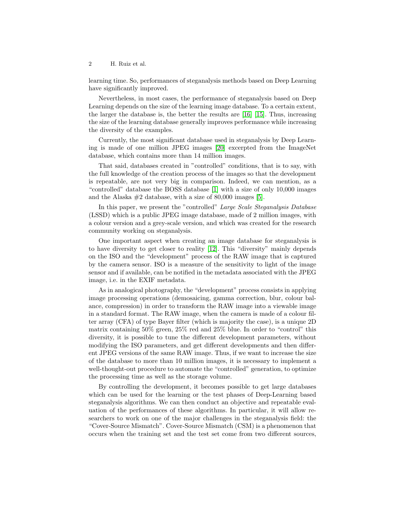learning time. So, performances of steganalysis methods based on Deep Learning have significantly improved.

Nevertheless, in most cases, the performance of steganalysis based on Deep Learning depends on the size of the learning image database. To a certain extent, the larger the database is, the better the results are [\[16\]](#page-12-1) [\[15\]](#page-12-2). Thus, increasing the size of the learning database generally improves performance while increasing the diversity of the examples.

Currently, the most significant database used in steganalysis by Deep Learning is made of one million JPEG images [\[20\]](#page-13-0) excerpted from the ImageNet database, which contains more than 14 million images.

That said, databases created in "controlled" conditions, that is to say, with the full knowledge of the creation process of the images so that the development is repeatable, are not very big in comparison. Indeed, we can mention, as a "controlled" database the BOSS database [\[1\]](#page-11-1) with a size of only 10,000 images and the Alaska  $\#2$  database, with a size of 80,000 images [\[5\]](#page-12-3).

In this paper, we present the "controlled" Large Scale Steganalysis Database (LSSD) which is a public JPEG image database, made of 2 million images, with a colour version and a grey-scale version, and which was created for the research community working on steganalysis.

One important aspect when creating an image database for steganalysis is to have diversity to get closer to reality [\[12\]](#page-12-4). This "diversity" mainly depends on the ISO and the "development" process of the RAW image that is captured by the camera sensor. ISO is a measure of the sensitivity to light of the image sensor and if available, can be notified in the metadata associated with the JPEG image, i.e. in the EXIF metadata.

As in analogical photography, the "development" process consists in applying image processing operations (demosaicing, gamma correction, blur, colour balance, compression) in order to transform the RAW image into a viewable image in a standard format. The RAW image, when the camera is made of a colour filter array (CFA) of type Bayer filter (which is majority the case), is a unique 2D matrix containing 50% green, 25% red and 25% blue. In order to "control" this diversity, it is possible to tune the different development parameters, without modifying the ISO parameters, and get different developments and then different JPEG versions of the same RAW image. Thus, if we want to increase the size of the database to more than 10 million images, it is necessary to implement a well-thought-out procedure to automate the "controlled" generation, to optimize the processing time as well as the storage volume.

By controlling the development, it becomes possible to get large databases which can be used for the learning or the test phases of Deep-Learning based steganalysis algorithms. We can then conduct an objective and repeatable evaluation of the performances of these algorithms. In particular, it will allow researchers to work on one of the major challenges in the steganalysis field: the "Cover-Source Mismatch". Cover-Source Mismatch (CSM) is a phenomenon that occurs when the training set and the test set come from two different sources,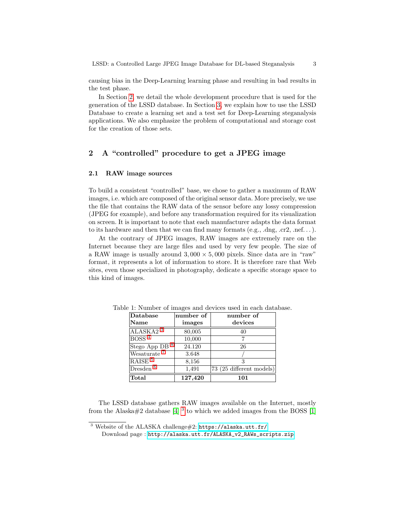causing bias in the Deep-Learning learning phase and resulting in bad results in the test phase.

In Section [2,](#page-2-0) we detail the whole development procedure that is used for the generation of the LSSD database. In Section [3,](#page-8-0) we explain how to use the LSSD Database to create a learning set and a test set for Deep-Learning steganalysis applications. We also emphasize the problem of computational and storage cost for the creation of those sets.

# <span id="page-2-0"></span>2 A "controlled" procedure to get a JPEG image

## <span id="page-2-3"></span>2.1 RAW image sources

To build a consistent "controlled" base, we chose to gather a maximum of RAW images, i.e. which are composed of the original sensor data. More precisely, we use the file that contains the RAW data of the sensor before any lossy compression (JPEG for example), and before any transformation required for its visualization on screen. It is important to note that each manufacturer adapts the data format to its hardware and then that we can find many formats  $(e.g., .\text{dng}, .\text{cr}2, .\text{nef.} \ldots).$ 

At the contrary of JPEG images, RAW images are extremely rare on the Internet because they are large files and used by very few people. The size of a RAW image is usually around  $3,000 \times 5,000$  pixels. Since data are in "raw" format, it represents a lot of information to store. It is therefore rare that Web sites, even those specialized in photography, dedicate a specific storage space to this kind of images.

| Database                | number of | number of                |  |
|-------------------------|-----------|--------------------------|--|
| <b>Name</b>             | images    | devices                  |  |
| ALASKA2 <sup>3</sup>    | 80,005    | 40                       |  |
| BOSS <sup>4</sup>       | 10,000    |                          |  |
| Stego App DB            | 24.120    | 26                       |  |
| Wesaturate              | 3.648     |                          |  |
| RAISE <sup>5</sup>      | 8,156     | 3                        |  |
| $D$ resden <sup>6</sup> | 1,491     | 73 (25 different models) |  |
| Total                   | 127,420   | 101                      |  |

<span id="page-2-2"></span>Table 1: Number of images and devices used in each database.

The LSSD database gathers RAW images available on the Internet, mostly from the Alaska#2 database [\[4\]](#page-12-5)  $^3$  $^3$  to which we added images from the BOSS [\[1\]](#page-11-1)

<span id="page-2-1"></span> $3$  Website of the ALASKA challenge#2: <https://alaska.utt.fr/>

Download page : [http://alaska.utt.fr/ALASKA\\_v2\\_RAWs\\_scripts.zip](http://alaska.utt.fr/ALASKA_v2_RAWs_scripts.zip).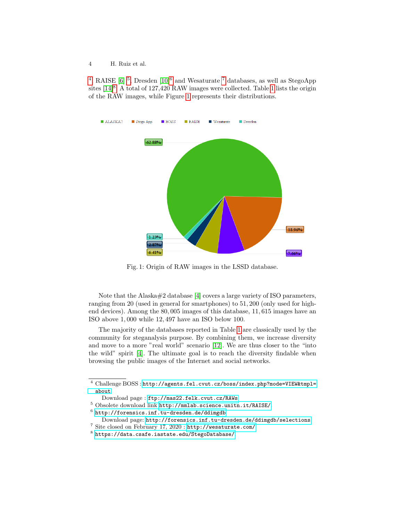<sup>[4](#page-3-0)</sup>, RAISE [\[6\]](#page-12-6) <sup>[5](#page-3-3)</sup>, Dresden [\[10\]](#page-12-7)<sup>[6](#page-3-4)</sup> and Wesaturate <sup>[7](#page-3-2)</sup> databases, as well as StegoApp sites [\[14\]](#page-12-8)<sup>[8](#page-3-1)</sup>. A total of [1](#page-2-2)27,420 RAW images were collected. Table 1 lists the origin of the RAW images, while Figure [1](#page-3-5) represents their distributions.

<span id="page-3-5"></span>

Fig. 1: Origin of RAW images in the LSSD database.

Note that the Alaska#2 database [\[4\]](#page-12-5) covers a large variety of ISO parameters, ranging from 20 (used in general for smartphones) to 51, 200 (only used for highend devices). Among the 80, 005 images of this database, 11, 615 images have an ISO above 1, 000 while 12, 497 have an ISO below 100.

The majority of the databases reported in Table [1](#page-2-2) are classically used by the community for steganalysis purpose. By combining them, we increase diversity and move to a more "real world" scenario [\[12\]](#page-12-4). We are thus closer to the "into the wild" spirit [\[4\]](#page-12-5). The ultimate goal is to reach the diversity findable when browsing the public images of the Internet and social networks.

<span id="page-3-0"></span> $^4$  Challenge BOSS : [http://agents.fel.cvut.cz/boss/index.php?mode=VIEW&tmpl=](http://agents.fel.cvut.cz/boss/index.php?mode=VIEW&tmpl=about) [about](http://agents.fel.cvut.cz/boss/index.php?mode=VIEW&tmpl=about)

<span id="page-3-3"></span>Download page : <ftp://mas22.felk.cvut.cz/RAWs>

<sup>5</sup> Obsolete download link <http://mmlab.science.unitn.it/RAISE/>.

<span id="page-3-4"></span> $^6$  <http://forensics.inf.tu-dresden.de/ddimgdb>

<span id="page-3-2"></span>Download page: <http://forensics.inf.tu-dresden.de/ddimgdb/selections>.

<sup>7</sup> Site closed on February 17, 2020 : <http://wesaturate.com/>.

<span id="page-3-1"></span> $^8$  <https://data.csafe.iastate.edu/StegoDatabase/>.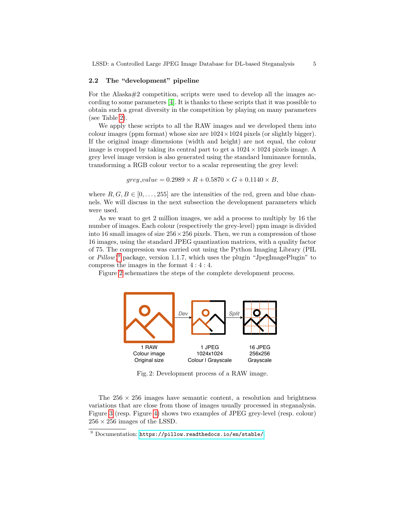LSSD: a Controlled Large JPEG Image Database for DL-based Steganalysis 5

#### 2.2 The "development" pipeline

For the Alaska#2 competition, scripts were used to develop all the images according to some parameters [\[4\]](#page-12-5). It is thanks to these scripts that it was possible to obtain such a great diversity in the competition by playing on many parameters (see Table [2\)](#page-6-0).

We apply these scripts to all the RAW images and we developed them into colour images (ppm format) whose size are  $1024 \times 1024$  pixels (or slightly bigger). If the original image dimensions (width and height) are not equal, the colour image is cropped by taking its central part to get a  $1024 \times 1024$  pixels image. A grey level image version is also generated using the standard luminance formula, transforming a RGB colour vector to a scalar representing the grey level:

<span id="page-4-2"></span> $grey\_value = 0.2989 \times R + 0.5870 \times G + 0.1140 \times B,$ 

where  $R, G, B \in [0, \ldots, 255]$  are the intensities of the red, green and blue channels. We will discuss in the next subsection the development parameters which were used.

As we want to get 2 million images, we add a process to multiply by 16 the number of images. Each colour (respectively the grey-level) ppm image is divided into 16 small images of size  $256 \times 256$  pixels. Then, we run a compression of those 16 images, using the standard JPEG quantization matrices, with a quality factor of 75. The compression was carried out using the Python Imaging Library (PIL or  $Pillow$ <sup>[9](#page-4-0)</sup> package, version 1.1.7, which uses the plugin "JpegImagePlugin" to compress the images in the format 4 : 4 : 4.

<span id="page-4-1"></span>Figure [2](#page-4-1) schematizes the steps of the complete development process.



Fig. 2: Development process of a RAW image.

The  $256 \times 256$  images have semantic content, a resolution and brightness variations that are close from those of images usually processed in steganalysis. Figure [3](#page-5-0) (resp. Figure [4\)](#page-5-1) shows two examples of JPEG grey-level (resp. colour)  $256 \times 256$  images of the LSSD.

<span id="page-4-0"></span><sup>9</sup> Documentation: <https://pillow.readthedocs.io/en/stable/>.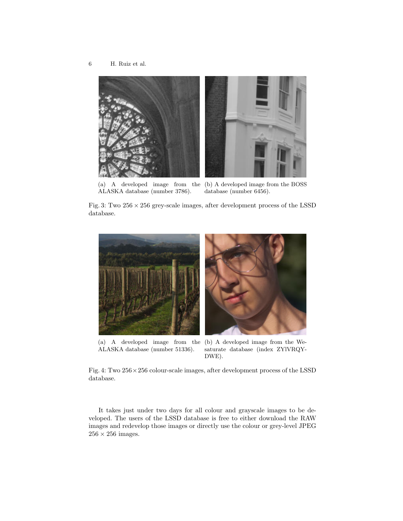<span id="page-5-0"></span>

ALASKA database (number 3786).

(a) A developed image from the (b) A developed image from the BOSS database (number 6456).

<span id="page-5-1"></span>Fig. 3: Two  $256 \times 256$  grey-scale images, after development process of the LSSD database.



(a) A developed image from the (b) A developed image from the We-ALASKA database (number 51336). saturate database (index ZYlVRQY-DWE).

Fig. 4: Two 256×256 colour-scale images, after development process of the LSSD database.

It takes just under two days for all colour and grayscale images to be developed. The users of the LSSD database is free to either download the RAW images and redevelop those images or directly use the colour or grey-level JPEG  $256\times256$  images.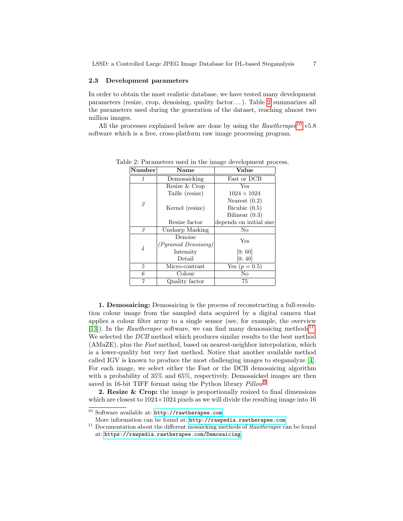## 2.3 Development parameters

In order to obtain the most realistic database, we have tested many development parameters (resize, crop, denoising, quality factor. . . ). Table [2](#page-6-0) summarizes all the parameters used during the generation of the dataset, reaching almost two million images.

<span id="page-6-0"></span>All the processes explained below are done by using the  $Rawthere^{10}$  $Rawthere^{10}$  $Rawthere^{10}$  v5.8 software which is a free, cross-platform raw image processing program.

| Number       | Name                       | Value                   |  |  |
|--------------|----------------------------|-------------------------|--|--|
| $\mathcal I$ | Demosaicking               | Fast or DCB             |  |  |
| 2            | Resize & Crop              | Yes                     |  |  |
|              | Taille (resize)            | $1024 \times 1024$      |  |  |
|              |                            | Nearest $(0.2)$         |  |  |
|              | Kernel (resize)            | Bicubic $(0.5)$         |  |  |
|              |                            | Bilinear $(0.3)$        |  |  |
|              | Resize factor              | depends on initial size |  |  |
| 3            | Unsharp Masking            | No                      |  |  |
|              | Denoise                    | Yes                     |  |  |
|              | <i>(Pyramid Denoising)</i> |                         |  |  |
| 4            | Intensity                  | [0; 60]                 |  |  |
|              | Detail                     | [0; 40]                 |  |  |
| 5            | Micro-contrast             | Yes $(p = 0.5)$         |  |  |
| 6            | Colour                     | No                      |  |  |
| $\gamma$     | Quality factor             | 75                      |  |  |

Table 2: Parameters used in the image development process.

1. Demosaicing: Demosaicing is the process of reconstructing a full-resolution colour image from the sampled data acquired by a digital camera that applies a colour filter array to a single sensor (see, for example, the overview [\[13\]](#page-12-9)). In the Rawtherapee software, we can find many demosaicing methods<sup>[11](#page-6-2)</sup>. We selected the DCB method which produces similar results to the best method (AMaZE), plus the Fast method, based on nearest-neighbor interpolation, which is a lower-quality but very fast method. Notice that another available method called IGV is known to produce the most challenging images to steganalyze [\[4\]](#page-12-5). For each image, we select either the Fast or the DCB demosaicing algorithm with a probability of 35% and 65%, respectively. Demosaicked images are then saved in 16-bit TIFF format using the Python library  $Pillow<sup>9</sup>$  $Pillow<sup>9</sup>$  $Pillow<sup>9</sup>$ .

2. Resize & Crop: the image is proportionally resized to final dimensions which are closest to  $1024\times1024$  pixels as we will divide the resulting image into 16

<span id="page-6-1"></span><sup>10</sup> Software available at: <http://rawtherapee.com>

<span id="page-6-2"></span>More information can be found at: <http://rawpedia.rawtherapee.com>

 $^{11}$  Documentation about the different mosaicking methods of  $\it Rawtherapee$  can be found at: <https://rawpedia.rawtherapee.com/Demosaicing>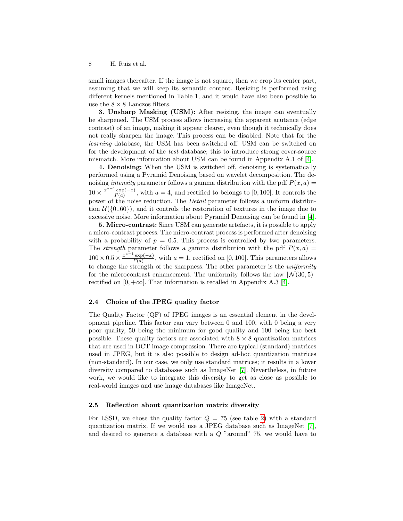small images thereafter. If the image is not square, then we crop its center part, assuming that we will keep its semantic content. Resizing is performed using different kernels mentioned in Table 1, and it would have also been possible to use the  $8 \times 8$  Lanczos filters.

3. Unsharp Masking (USM): After resizing, the image can eventually be sharpened. The USM process allows increasing the apparent acutance (edge contrast) of an image, making it appear clearer, even though it technically does not really sharpen the image. This process can be disabled. Note that for the learning database, the USM has been switched off. USM can be switched on for the development of the test database; this to introduce strong cover-source mismatch. More information about USM can be found in Appendix A.1 of [\[4\]](#page-12-5).

4. Denoising: When the USM is switched off, denoising is systematically performed using a Pyramid Denoising based on wavelet decomposition. The denoising *intensity* parameter follows a gamma distribution with the pdf  $P(x, a) =$  $10 \times \frac{x^{a-1}}{a}$  $\frac{\exp(-x)}{\exp(-x)}$ , with  $a = 4$ , and rectified to belongs to [0, 100]. It controls the  $\Gamma(a)$ power of the noise reduction. The Detail parameter follows a uniform distribution  $\mathcal{U}(\{0..60\})$ , and it controls the restoration of textures in the image due to excessive noise. More information about Pyramid Denoising can be found in [\[4\]](#page-12-5).

5. Micro-contrast: Since USM can generate artefacts, it is possible to apply a micro-contrast process. The micro-contrast process is performed after denoising with a probability of  $p = 0.5$ . This process is controlled by two parameters. The *strength* parameter follows a gamma distribution with the pdf  $P(x, a)$  $100 \times 0.5 \times \frac{x^{a-1} \exp(-x)}{\Gamma(a)}$  $\frac{\exp(-x)}{\Gamma(a)}$ , with  $a = 1$ , rectified on [0, 100]. This parameters allows to change the strength of the sharpness. The other parameter is the uniformity for the microcontrast enhancement. The uniformity follows the law  $|\mathcal{N}(30, 5)|$ rectified on  $[0, +\infty]$ . That information is recalled in Appendix A.3 [\[4\]](#page-12-5).

## 2.4 Choice of the JPEG quality factor

The Quality Factor (QF) of JPEG images is an essential element in the development pipeline. This factor can vary between 0 and 100, with 0 being a very poor quality, 50 being the minimum for good quality and 100 being the best possible. These quality factors are associated with  $8 \times 8$  quantization matrices that are used in DCT image compression. There are typical (standard) matrices used in JPEG, but it is also possible to design ad-hoc quantization matrices (non-standard). In our case, we only use standard matrices; it results in a lower diversity compared to databases such as ImageNet [\[7\]](#page-12-10). Nevertheless, in future work, we would like to integrate this diversity to get as close as possible to real-world images and use image databases like ImageNet.

## 2.5 Reflection about quantization matrix diversity

For LSSD, we chose the quality factor  $Q = 75$  (see table [2\)](#page-4-1) with a standard quantization matrix. If we would use a JPEG database such as ImageNet [\[7\]](#page-12-10), and desired to generate a database with a  $Q$  "around" 75, we would have to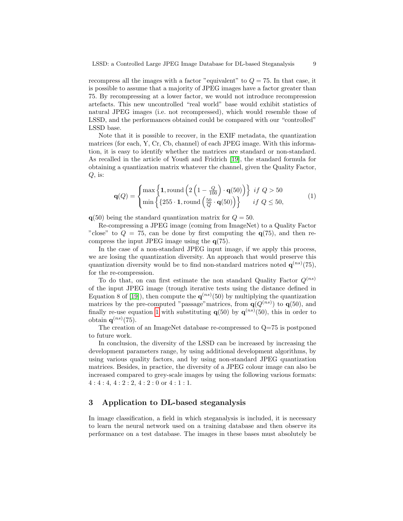recompress all the images with a factor "equivalent" to  $Q = 75$ . In that case, it is possible to assume that a majority of JPEG images have a factor greater than 75. By recompressing at a lower factor, we would not introduce recompression artefacts. This new uncontrolled "real world" base would exhibit statistics of natural JPEG images (i.e. not recompressed), which would resemble those of LSSD, and the performances obtained could be compared with our "controlled" LSSD base.

Note that it is possible to recover, in the EXIF metadata, the quantization matrices (for each, Y, Cr, Cb, channel) of each JPEG image. With this information, it is easy to identify whether the matrices are standard or non-standard. As recalled in the article of Yousfi and Fridrich [\[19\]](#page-13-1), the standard formula for obtaining a quantization matrix whatever the channel, given the Quality Factor,  $Q$ , is:

$$
\mathbf{q}(Q) = \begin{cases} \max\left\{1, \text{round}\left(2\left(1 - \frac{Q}{100}\right) \cdot \mathbf{q}(50)\right)\right\} & \text{if } Q > 50\\ \min\left\{\left\{255 \cdot 1, \text{round}\left(\frac{50}{Q} \cdot \mathbf{q}(50)\right)\right\} & \text{if } Q \le 50,\end{cases} \tag{1}
$$

 $q(50)$  being the standard quantization matrix for  $Q = 50$ .

Re-compressing a JPEG image (coming from ImageNet) to a Quality Factor "close" to  $Q = 75$ , can be done by first computing the  $q(75)$ , and then recompress the input JPEG image using the q(75).

In the case of a non-standard JPEG input image, if we apply this process, we are losing the quantization diversity. An approach that would preserve this quantization diversity would be to find non-standard matrices noted  $q^{(ns)}(75)$ , for the re-compression.

To do that, on can first estimate the non standard Quality Factor  $Q^{(ns)}$ of the input JPEG image (trough iterative tests using the distance defined in Equation 8 of [\[19\]](#page-13-1)), then compute the  $q^{(ns)}(50)$  by multiplying the quantization matrices by the pre-computed "passage" matrices, from  $q(Q^{(ns)})$  to  $q(50)$ , and finally re-use equation [1](#page-4-2) with substituting  $q(50)$  by  $q^{(ns)}(50)$ , this in order to obtain  $q^{(ns)}(75)$ .

The creation of an ImageNet database re-compressed to  $Q=75$  is postponed to future work.

In conclusion, the diversity of the LSSD can be increased by increasing the development parameters range, by using additional development algorithms, by using various quality factors, and by using non-standard JPEG quantization matrices. Besides, in practice, the diversity of a JPEG colour image can also be increased compared to grey-scale images by using the following various formats:  $4:4:4, 4:2:2, 4:2:0$  or  $4:1:1$ .

## <span id="page-8-0"></span>3 Application to DL-based steganalysis

In image classification, a field in which steganalysis is included, it is necessary to learn the neural network used on a training database and then observe its performance on a test database. The images in these bases must absolutely be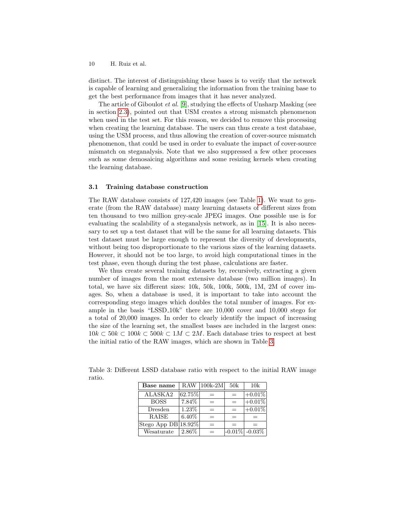distinct. The interest of distinguishing these bases is to verify that the network is capable of learning and generalizing the information from the training base to get the best performance from images that it has never analyzed.

The article of Giboulot et al. [\[9\]](#page-12-11), studying the effects of Unsharp Masking (see in section [2.3\)](#page-6-0), pointed out that USM creates a strong mismatch phenomenon when used in the test set. For this reason, we decided to remove this processing when creating the learning database. The users can thus create a test database, using the USM process, and thus allowing the creation of cover-source mismatch phenomenon, that could be used in order to evaluate the impact of cover-source mismatch on steganalysis. Note that we also suppressed a few other processes such as some demosaicing algorithms and some resizing kernels when creating the learning database.

#### 3.1 Training database construction

The RAW database consists of 127,420 images (see Table [1\)](#page-2-2). We want to generate (from the RAW database) many learning datasets of different sizes from ten thousand to two million grey-scale JPEG images. One possible use is for evaluating the scalability of a steganalysis network, as in [\[15\]](#page-12-2). It is also necessary to set up a test dataset that will be the same for all learning datasets. This test dataset must be large enough to represent the diversity of developments, without being too disproportionate to the various sizes of the learning datasets. However, it should not be too large, to avoid high computational times in the test phase, even though during the test phase, calculations are faster.

We thus create several training datasets by, recursively, extracting a given number of images from the most extensive database (two million images). In total, we have six different sizes: 10k, 50k, 100k, 500k, 1M, 2M of cover images. So, when a database is used, it is important to take into account the corresponding stego images which doubles the total number of images. For example in the basis "LSSD 10k" there are 10,000 cover and 10,000 stego for a total of 20,000 images. In order to clearly identify the impact of increasing the size of the learning set, the smallest bases are included in the largest ones:  $10k \subset 50k \subset 100k \subset 500k \subset 1M \subset 2M$ . Each database tries to respect at best the initial ratio of the RAW images, which are shown in Table [3.](#page-9-0)

| Base name           |          | RAW 100k-2M                    | 50k      | 10k              |
|---------------------|----------|--------------------------------|----------|------------------|
| ALASKA2             | 62.75%   |                                | $\equiv$ | $ +0.01\% $      |
| <b>BOSS</b>         | 7.84%    |                                | $=$      | $+0.01\%$        |
| Dresden             | $1.23\%$ | $=$                            | $\equiv$ | $+0.01%$         |
| <b>RAISE</b>        | $6.40\%$ | —                              | $=$      | —                |
| Stego App DB 18.92% |          |                                | $=$      |                  |
| Wesaturate          | $2.86\%$ | $\qquad \qquad \longleftarrow$ |          | $-0.01\%$ -0.03% |

<span id="page-9-0"></span>Table 3: Different LSSD database ratio with respect to the initial RAW image ratio.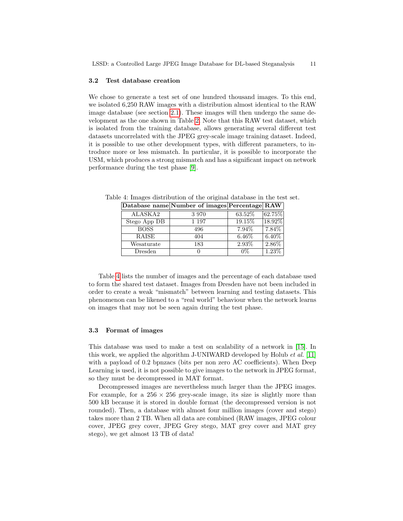#### 3.2 Test database creation

We chose to generate a test set of one hundred thousand images. To this end, we isolated 6,250 RAW images with a distribution almost identical to the RAW image database (see section [2.1\)](#page-2-3). These images will then undergo the same development as the one shown in Table [2.](#page-6-0) Note that this RAW test dataset, which is isolated from the training database, allows generating several different test datasets uncorrelated with the JPEG grey-scale image training dataset. Indeed, it is possible to use other development types, with different parameters, to introduce more or less mismatch. In particular, it is possible to incorporate the USM, which produces a strong mismatch and has a significant impact on network performance during the test phase [\[9\]](#page-12-11).

|              | Database name Number of images Percentage RAW |          |          |
|--------------|-----------------------------------------------|----------|----------|
| ALASKA2      | 3970                                          | 63.52%   | 62.75%   |
| Stego App DB | 1 197                                         | 19.15%   | 18.92%   |
| <b>BOSS</b>  | 496                                           | 7.94\%   | 7.84%    |
| RAISE        | 404                                           | $6.46\%$ | $6.40\%$ |
| Wesaturate   | 183                                           | 2.93%    | 2.86%    |
| Dresden      |                                               | 0%       | 1.23%    |

<span id="page-10-0"></span>Table 4: Images distribution of the original database in the test set.  $\mathbf{N}$  images  $\mathbf{N}$ 

Table [4](#page-10-0) lists the number of images and the percentage of each database used to form the shared test dataset. Images from Dresden have not been included in order to create a weak "mismatch" between learning and testing datasets. This phenomenon can be likened to a "real world" behaviour when the network learns on images that may not be seen again during the test phase.

#### 3.3 Format of images

This database was used to make a test on scalability of a network in [\[15\]](#page-12-2). In this work, we applied the algorithm J-UNIWARD developed by Holub *et al.* [\[11\]](#page-12-12) with a payload of 0.2 bpnzacs (bits per non zero AC coefficients). When Deep Learning is used, it is not possible to give images to the network in JPEG format, so they must be decompressed in MAT format.

Decompressed images are nevertheless much larger than the JPEG images. For example, for a  $256 \times 256$  grey-scale image, its size is slightly more than 500 kB because it is stored in double format (the decompressed version is not rounded). Then, a database with almost four million images (cover and stego) takes more than 2 TB. When all data are combined (RAW images, JPEG colour cover, JPEG grey cover, JPEG Grey stego, MAT grey cover and MAT grey stego), we get almost 13 TB of data!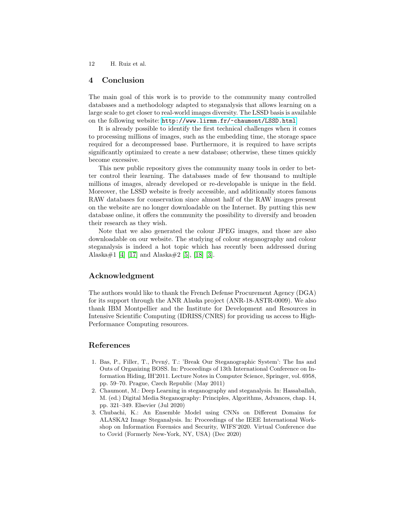## 4 Conclusion

The main goal of this work is to provide to the community many controlled databases and a methodology adapted to steganalysis that allows learning on a large scale to get closer to real-world images diversity. The LSSD basis is available on the following website: <http://www.lirmm.fr/~chaumont/LSSD.html>

It is already possible to identify the first technical challenges when it comes to processing millions of images, such as the embedding time, the storage space required for a decompressed base. Furthermore, it is required to have scripts significantly optimized to create a new database; otherwise, these times quickly become excessive.

This new public repository gives the community many tools in order to better control their learning. The databases made of few thousand to multiple millions of images, already developed or re-developable is unique in the field. Moreover, the LSSD website is freely accessible, and additionally stores famous RAW databases for conservation since almost half of the RAW images present on the website are no longer downloadable on the Internet. By putting this new database online, it offers the community the possibility to diversify and broaden their research as they wish.

Note that we also generated the colour JPEG images, and those are also downloadable on our website. The studying of colour steganography and colour steganalysis is indeed a hot topic which has recently been addressed during Alaska#1 [\[4\]](#page-12-5) [\[17\]](#page-12-13) and Alaska#2 [\[5\]](#page-12-3), [\[18\]](#page-13-2) [\[3\]](#page-11-2).

## Acknowledgment

The authors would like to thank the French Defense Procurement Agency (DGA) for its support through the ANR Alaska project (ANR-18-ASTR-0009). We also thank IBM Montpellier and the Institute for Development and Resources in Intensive Scientific Computing (IDRISS/CNRS) for providing us access to High-Performance Computing resources.

# References

- <span id="page-11-1"></span>1. Bas, P., Filler, T., Pevn´y, T.: 'Break Our Steganographic System': The Ins and Outs of Organizing BOSS. In: Proceedings of 13th International Conference on Information Hiding, IH'2011. Lecture Notes in Computer Science, Springer, vol. 6958, pp. 59–70. Prague, Czech Republic (May 2011)
- <span id="page-11-0"></span>2. Chaumont, M.: Deep Learning in steganography and steganalysis. In: Hassaballah, M. (ed.) Digital Media Steganography: Principles, Algorithms, Advances, chap. 14, pp. 321–349. Elsevier (Jul 2020)
- <span id="page-11-2"></span>3. Chubachi, K.: An Ensemble Model using CNNs on Different Domains for ALASKA2 Image Steganalysis. In: Proceedings of the IEEE International Workshop on Information Forensics and Security, WIFS'2020. Virtual Conference due to Covid (Formerly New-York, NY, USA) (Dec 2020)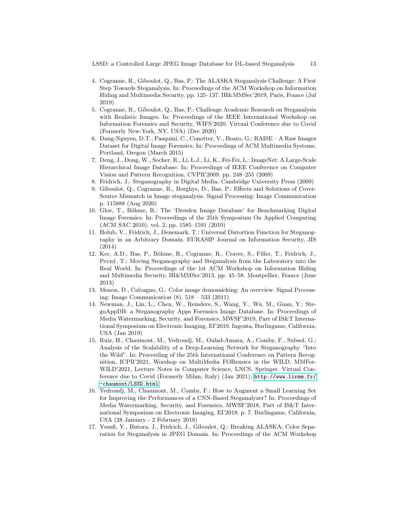LSSD: a Controlled Large JPEG Image Database for DL-based Steganalysis 13

- <span id="page-12-5"></span>4. Cogranne, R., Giboulot, Q., Bas, P.: The ALASKA Steganalysis Challenge: A First Step Towards Steganalysis. In: Proceedings of the ACM Workshop on Information Hiding and Multimedia Security. pp. 125–137. IH&MMSec'2019, Paris, France (Jul 2019)
- <span id="page-12-3"></span>5. Cogranne, R., Giboulot, Q., Bas, P.: Challenge Academic Research on Steganalysis with Realistic Images. In: Proceedings of the IEEE International Workshop on Information Forensics and Security, WIFS'2020. Virtual Conference due to Covid (Formerly New-York, NY, USA) (Dec 2020)
- <span id="page-12-6"></span>6. Dang-Nguyen, D.T., Pasquini, C., Conotter, V., Boato, G.: RAISE – A Raw Images Dataset for Digital Image Forensics. In: Proceedings of ACM Multimedia Systems. Portland, Oregon (March 2015)
- <span id="page-12-10"></span>7. Deng, J., Dong, W., Socher, R., Li, L.J., Li, K., Fei-Fei, L.: ImageNet: A Large-Scale Hierarchical Image Database. In: Proceedings of IEEE Conference on Computer Vision and Pattern Recognition, CVPR'2009. pp. 248–255 (2009)
- <span id="page-12-0"></span>8. Fridrich, J.: Steganography in Digital Media. Cambridge University Press (2009)
- <span id="page-12-11"></span>9. Giboulot, Q., Cogranne, R., Borghys, D., Bas, P.: Effects and Solutions of Cover-Source Mismatch in Image steganalysis. Signal Processing: Image Communication p. 115888 (Aug 2020)
- <span id="page-12-7"></span>10. Gloe, T., Böhme, R.: The 'Dresden Image Database' for Benchmarking Digital Image Forensics. In: Proceedings of the 25th Symposium On Applied Computing (ACM SAC 2010). vol. 2, pp. 1585–1591 (2010)
- <span id="page-12-12"></span>11. Holub, V., Fridrich, J., Denemark, T.: Universal Distortion Function for Steganography in an Arbitrary Domain. EURASIP Journal on Information Security, JIS (2014)
- <span id="page-12-4"></span>12. Ker, A.D., Bas, P., Böhme, R., Cogranne, R., Craver, S., Filler, T., Fridrich, J., Pevn´y, T.: Moving Steganography and Steganalysis from the Laboratory into the Real World. In: Proceedings of the 1st ACM Workshop on Information Hiding and Multimedia Security, IH&MMSec'2013. pp. 45–58. Montpellier, France (June 2013)
- <span id="page-12-9"></span>13. Menon, D., Calvagno, G.: Color image demosaicking: An overview. Signal Processing: Image Communication (8), 518 – 533 (2011)
- <span id="page-12-8"></span>14. Newman, J., Lin, L., Chen, W., Reinders, S., Wang, Y., Wu, M., Guan, Y.: StegoAppDB: a Steganography Apps Forensics Image Database. In: Proceedings of Media Watermarking, Security, and Forensics, MWSF'2019, Part of IS&T International Symposium on Electronic Imaging, EI'2019. Ingenta, Burlingame, California, USA (Jan 2019)
- <span id="page-12-2"></span>15. Ruiz, H., Chaumont, M., Yedroudj, M., Oulad-Amara, A., Comby, F., Subsol, G.: Analysis of the Scalability of a Deep-Learning Network for Steganography "Into the Wild". In: Proceeding of the 25th International Conference on Pattern Recognition, ICPR'2021, Worshop on MultiMedia FORensics in the WILD, MMFor-WILD'2021, Lecture Notes in Computer Science, LNCS, Springer. Virtual Conference due to Covid (Formerly Milan, Italy) (Jan 2021), [http://www.lirmm.fr/](http://www.lirmm.fr/~chaumont/LSSD.html) [~chaumont/LSSD.html](http://www.lirmm.fr/~chaumont/LSSD.html)
- <span id="page-12-1"></span>16. Yedroudj, M., Chaumont, M., Comby, F.: How to Augment a Small Learning Set for Improving the Performances of a CNN-Based Steganalyzer? In: Proceedings of Media Watermarking, Security, and Forensics, MWSF'2018, Part of IS&T International Symposium on Electronic Imaging, EI'2018. p. 7. Burlingame, California, USA (28 January - 2 February 2018)
- <span id="page-12-13"></span>17. Yousfi, Y., Butora, J., Fridrich, J., Giboulot, Q.: Breaking ALASKA: Color Separation for Steganalysis in JPEG Domain. In: Proceedings of the ACM Workshop